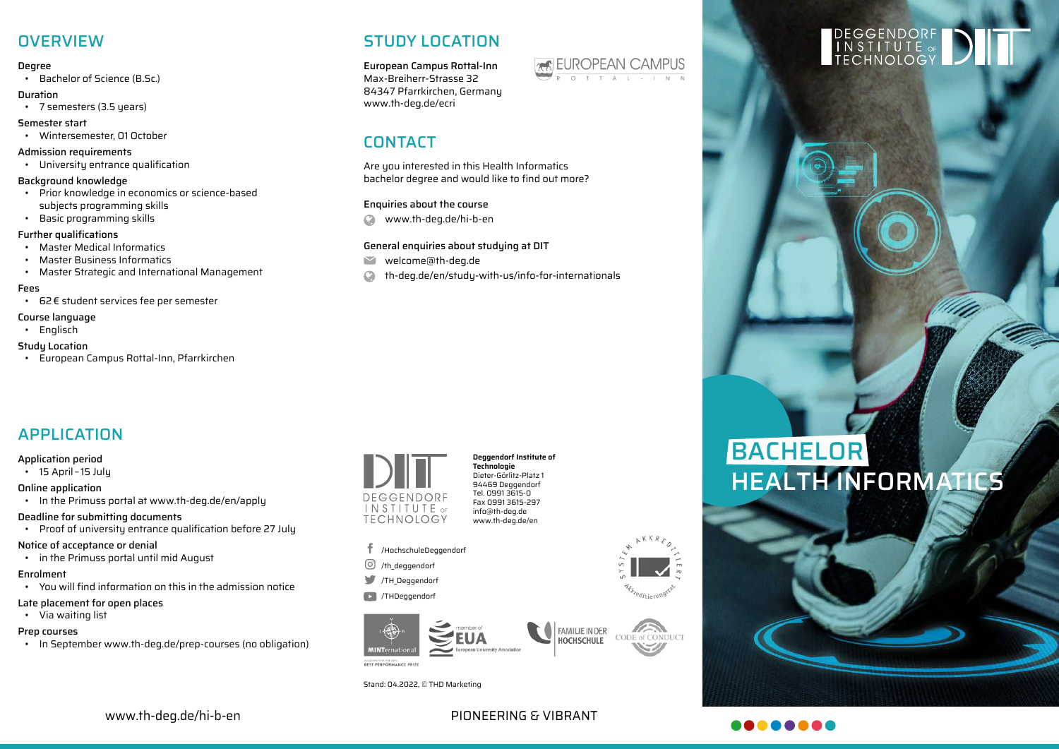## **OVERVIEW**

#### Degree

• Bachelor of Science (B.Sc.)

#### Duration

- 7 semesters (3.5 years)
- Semester start • Wintersemester, 01 October

#### Admission requirements

• University entrance qualification

#### Background knowledge

- Prior knowledge in economics or science-based subjects programming skills
- Basic programming skills

#### Further qualifications

- Master Medical Informatics
- Master Business Informatics
- Master Strategic and International Management

#### Fees

• 62€ student services fee per semester

### Course language

• Englisch

#### Study Location

• European Campus Rottal-Inn, Pfarrkirchen

## STUDY LOCATION

European Campus Rottal-Inn Max-Breiherr-Strasse 32 84347 Pfarrkirchen, Germany www.th-deg.de/ecri

## CONTACT

Are you interested in this Health Informatics bachelor degree and would like to find out more?

#### Enquiries about the course

 $\Omega$ www.th-deg.de/hi-b-en

### General enquiries about studying at DIT

- $\blacktriangleright$ welcome@th-deg.de
- Q th-deg.de/en/study-with-us/info-for-internationals

## APPLICATION

#### Application period

• 15 April – 15 July

#### Online application

• In the Primuss portal at www.th-deg.de/en/apply

#### Deadline for submitting documents

• Proof of university entrance qualification before 27 July

#### Notice of acceptance or denial

• in the Primuss portal until mid August

#### Enrolment

• You will find information on this in the admission notice

#### Late placement for open places

• Via waiting list

#### Prep courses

• In September www.th-deg.de/prep-courses (no obligation)



#### **Deggendorf Institute of Technologie** Dieter-Görlitz-Platz 1 94469 Deggendorf Tel. 0991 3615-0 Fax 0991 3615-297 info@th-deg.de www.th-deg.de/en

- /HochschuleDeggendorf
- /th\_deggendorf
- TH Deggendorf

#### /THDeggendorf



r<br><sup>tre</sup>ditieru<sup>p</sup>

Stand: 04.2022, © THD Marketing



# **DEGGENDORF<br>INSTITUTE** of<br>TECHNOLOGY

## BACHELOR HEALTH INFORMATICS



www.th-deg.de/hi-b-en PIONEERING & VIBRANT